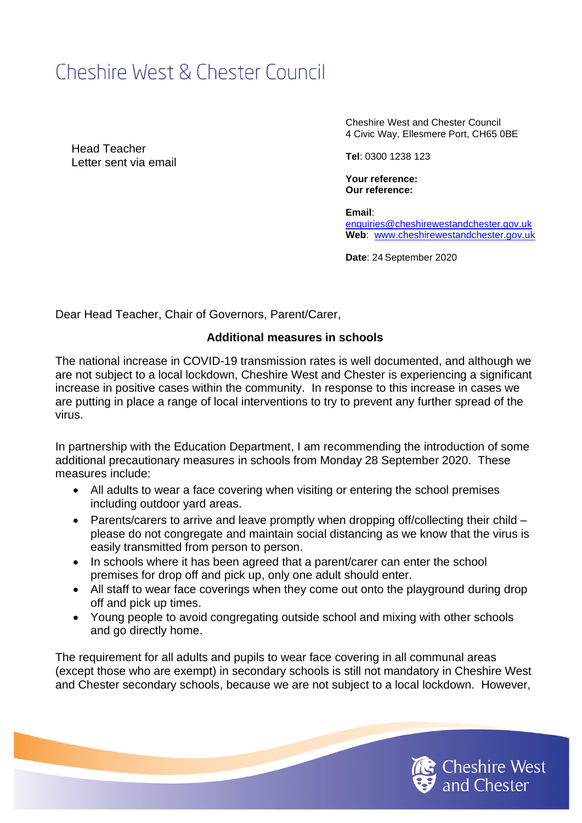## Cheshire West & Chester Council

Head Teacher Letter sent via email Cheshire West and Chester Council 4 Civic Way, Ellesmere Port, CH65 0BE

**Tel**: 0300 1238 123

**Your reference: Our reference:** 

**Email**: [enquiries@cheshirewestandchester.gov.uk](mailto:enquiries@cheshirewestandchester.gov.uk) **Web**: [www.cheshirewestandchester.gov.uk](http://www.cheshirewestandchester.gov.uk/)

Date: 24 September 2020

Dear Head Teacher, Chair of Governors, Parent/Carer,

## **Additional measures in schools**

The national increase in COVID-19 transmission rates is well documented, and although we are not subject to a local lockdown, Cheshire West and Chester is experiencing a significant increase in positive cases within the community. In response to this increase in cases we are putting in place a range of local interventions to try to prevent any further spread of the virus.

In partnership with the Education Department, I am recommending the introduction of some additional precautionary measures in schools from Monday 28 September 2020. These measures include:

- All adults to wear a face covering when visiting or entering the school premises including outdoor yard areas.
- Parents/carers to arrive and leave promptly when dropping off/collecting their child please do not congregate and maintain social distancing as we know that the virus is easily transmitted from person to person.
- In schools where it has been agreed that a parent/carer can enter the school premises for drop off and pick up, only one adult should enter.
- All staff to wear face coverings when they come out onto the playground during drop off and pick up times.
- Young people to avoid congregating outside school and mixing with other schools and go directly home.

The requirement for all adults and pupils to wear face covering in all communal areas (except those who are exempt) in secondary schools is still not mandatory in Cheshire West and Chester secondary schools, because we are not subject to a local lockdown. However,